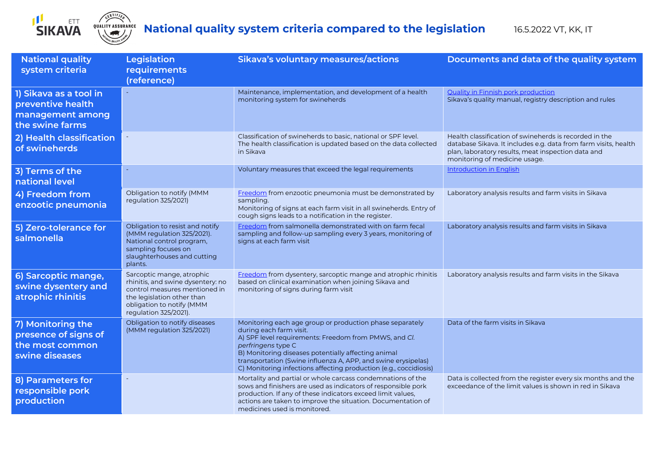

## **CERTIFIED**<br>QUALITY ASSURANCE

## **National quality system criteria compared to the legislation** 16.5.2022 VT, KK, IT

| <b>National quality</b><br>system criteria                                         | <b>Legislation</b><br>requirements<br>(reference)                                                                                                                                   | Sikava's voluntary measures/actions                                                                                                                                                                                                                                                                                                                             | Documents and data of the quality system                                                                                                                                                                         |
|------------------------------------------------------------------------------------|-------------------------------------------------------------------------------------------------------------------------------------------------------------------------------------|-----------------------------------------------------------------------------------------------------------------------------------------------------------------------------------------------------------------------------------------------------------------------------------------------------------------------------------------------------------------|------------------------------------------------------------------------------------------------------------------------------------------------------------------------------------------------------------------|
| 1) Sikava as a tool in<br>preventive health<br>management among<br>the swine farms |                                                                                                                                                                                     | Maintenance, implementation, and development of a health<br>monitoring system for swineherds                                                                                                                                                                                                                                                                    | Quality in Finnish pork production<br>Sikava's quality manual, registry description and rules                                                                                                                    |
| 2) Health classification<br>of swineherds                                          |                                                                                                                                                                                     | Classification of swineherds to basic, national or SPF level.<br>The health classification is updated based on the data collected<br>in Sikava                                                                                                                                                                                                                  | Health classification of swineherds is recorded in the<br>database Sikava. It includes e.g. data from farm visits, health<br>plan, laboratory results, meat inspection data and<br>monitoring of medicine usage. |
| 3) Terms of the<br>national level                                                  |                                                                                                                                                                                     | Voluntary measures that exceed the legal requirements                                                                                                                                                                                                                                                                                                           | <b>Introduction in English</b>                                                                                                                                                                                   |
| 4) Freedom from<br>enzootic pneumonia                                              | Obligation to notify (MMM<br>regulation 325/2021)                                                                                                                                   | Freedom from enzootic pneumonia must be demonstrated by<br>sampling.<br>Monitoring of signs at each farm visit in all swineherds. Entry of<br>cough signs leads to a notification in the register.                                                                                                                                                              | Laboratory analysis results and farm visits in Sikava                                                                                                                                                            |
| 5) Zero-tolerance for<br>salmonella                                                | Obligation to resist and notify<br>(MMM regulation 325/2021).<br>National control program,<br>sampling focuses on<br>slaughterhouses and cutting<br>plants.                         | Freedom from salmonella demonstrated with on farm fecal<br>sampling and follow-up sampling every 3 years, monitoring of<br>signs at each farm visit                                                                                                                                                                                                             | Laboratory analysis results and farm visits in Sikava                                                                                                                                                            |
| 6) Sarcoptic mange,<br>swine dysentery and<br>atrophic rhinitis                    | Sarcoptic mange, atrophic<br>rhinitis, and swine dysentery: no<br>control measures mentioned in<br>the legislation other than<br>obligation to notify (MMM<br>regulation 325/2021). | Freedom from dysentery, sarcoptic mange and atrophic rhinitis<br>based on clinical examination when joining Sikava and<br>monitoring of signs during farm visit                                                                                                                                                                                                 | Laboratory analysis results and farm visits in the Sikava                                                                                                                                                        |
| 7) Monitoring the<br>presence of signs of<br>the most common<br>swine diseases     | Obligation to notify diseases<br>(MMM regulation 325/2021)                                                                                                                          | Monitoring each age group or production phase separately<br>during each farm visit.<br>A) SPF level requirements: Freedom from PMWS, and Cl.<br>perfringens type C<br>B) Monitoring diseases potentially affecting animal<br>transportation (Swine influenza A, APP, and swine erysipelas)<br>C) Monitoring infections affecting production (e.g., coccidiosis) | Data of the farm visits in Sikava                                                                                                                                                                                |
| 8) Parameters for<br>responsible pork<br>production                                |                                                                                                                                                                                     | Mortality and partial or whole carcass condemnations of the<br>sows and finishers are used as indicators of responsible pork<br>production. If any of these indicators exceed limit values,<br>actions are taken to improve the situation. Documentation of<br>medicines used is monitored.                                                                     | Data is collected from the register every six months and the<br>exceedance of the limit values is shown in red in Sikava                                                                                         |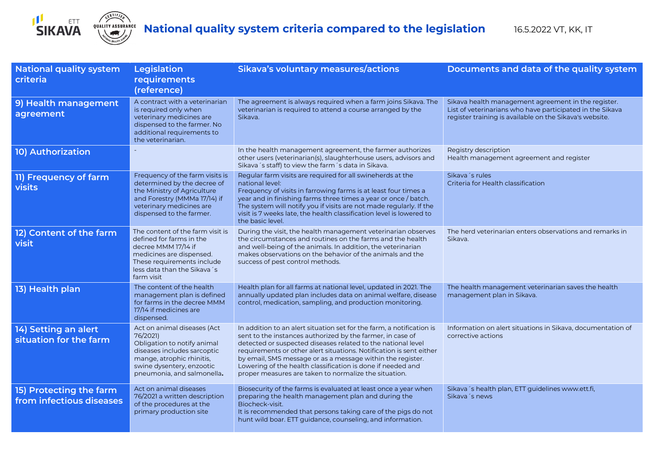

| <b>National quality system</b><br>criteria          | <b>Legislation</b><br>requirements<br>(reference)                                                                                                                                             | Sikava's voluntary measures/actions                                                                                                                                                                                                                                                                                                                                                                                                                              | Documents and data of the quality system                                                                                                                                    |
|-----------------------------------------------------|-----------------------------------------------------------------------------------------------------------------------------------------------------------------------------------------------|------------------------------------------------------------------------------------------------------------------------------------------------------------------------------------------------------------------------------------------------------------------------------------------------------------------------------------------------------------------------------------------------------------------------------------------------------------------|-----------------------------------------------------------------------------------------------------------------------------------------------------------------------------|
| 9) Health management<br>agreement                   | A contract with a veterinarian<br>is required only when<br>veterinary medicines are<br>dispensed to the farmer. No<br>additional requirements to<br>the veterinarian.                         | The agreement is always required when a farm joins Sikava. The<br>veterinarian is required to attend a course arranged by the<br>Sikava.                                                                                                                                                                                                                                                                                                                         | Sikava health management agreement in the register.<br>List of veterinarians who have participated in the Sikava<br>register training is available on the Sikava's website. |
| <b>10) Authorization</b>                            |                                                                                                                                                                                               | In the health management agreement, the farmer authorizes<br>other users (veterinarian(s), slaughterhouse users, advisors and<br>Sikava 's staff) to view the farm 's data in Sikava.                                                                                                                                                                                                                                                                            | Registry description<br>Health management agreement and register                                                                                                            |
| 11) Frequency of farm<br><b>visits</b>              | Frequency of the farm visits is<br>determined by the decree of<br>the Ministry of Agriculture<br>and Forestry (MMMa 17/14) if<br>veterinary medicines are<br>dispensed to the farmer.         | Regular farm visits are required for all swineherds at the<br>national level:<br>Frequency of visits in farrowing farms is at least four times a<br>year and in finishing farms three times a year or once / batch.<br>The system will notify you if visits are not made regularly. If the<br>visit is 7 weeks late, the health classification level is lowered to<br>the basic level.                                                                           | Sikava 's rules<br>Criteria for Health classification                                                                                                                       |
| 12) Content of the farm<br>visit                    | The content of the farm visit is<br>defined for farms in the<br>decree MMM 17/14 if<br>medicines are dispensed.<br>These requirements include<br>less data than the Sikava's<br>farm visit    | During the visit, the health management veterinarian observes<br>the circumstances and routines on the farms and the health<br>and well-being of the animals. In addition, the veterinarian<br>makes observations on the behavior of the animals and the<br>success of pest control methods.                                                                                                                                                                     | The herd veterinarian enters observations and remarks in<br>Sikava.                                                                                                         |
| 13) Health plan                                     | The content of the health<br>management plan is defined<br>for farms in the decree MMM<br>17/14 if medicines are<br>dispensed.                                                                | Health plan for all farms at national level, updated in 2021. The<br>annually updated plan includes data on animal welfare, disease<br>control, medication, sampling, and production monitoring.                                                                                                                                                                                                                                                                 | The health management veterinarian saves the health<br>management plan in Sikava.                                                                                           |
| 14) Setting an alert<br>situation for the farm      | Act on animal diseases (Act<br>76/2021)<br>Obligation to notify animal<br>diseases includes sarcoptic<br>mange, atrophic rhinitis,<br>swine dysentery, enzootic<br>pneumonia, and salmonella. | In addition to an alert situation set for the farm, a notification is<br>sent to the instances authorized by the farmer, in case of<br>detected or suspected diseases related to the national level<br>requirements or other alert situations. Notification is sent either<br>by email, SMS message or as a message within the register.<br>Lowering of the health classification is done if needed and<br>proper measures are taken to normalize the situation. | Information on alert situations in Sikava, documentation of<br>corrective actions                                                                                           |
| 15) Protecting the farm<br>from infectious diseases | Act on animal diseases<br>76/2021 a written description<br>of the procedures at the<br>primary production site                                                                                | Biosecurity of the farms is evaluated at least once a year when<br>preparing the health management plan and during the<br>Biocheck-visit.<br>It is recommended that persons taking care of the pigs do not<br>hunt wild boar. ETT guidance, counseling, and information.                                                                                                                                                                                         | Sikava 's health plan, ETT guidelines www.ett.fi,<br>Sikava 's news                                                                                                         |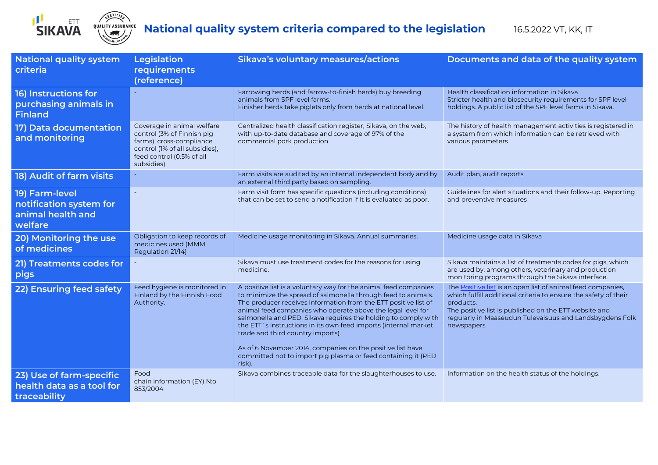

CERTIFIED

| <b>National quality system</b><br>criteria                                | Legislation<br>requirements<br>(reference)                                                                                                                        | Sikava's voluntary measures/actions                                                                                                                                                                                                                                                                                                                                                                                                                                                                                                                                                    | Documents and data of the quality system                                                                                                                                                                                                                                       |
|---------------------------------------------------------------------------|-------------------------------------------------------------------------------------------------------------------------------------------------------------------|----------------------------------------------------------------------------------------------------------------------------------------------------------------------------------------------------------------------------------------------------------------------------------------------------------------------------------------------------------------------------------------------------------------------------------------------------------------------------------------------------------------------------------------------------------------------------------------|--------------------------------------------------------------------------------------------------------------------------------------------------------------------------------------------------------------------------------------------------------------------------------|
| 16) Instructions for<br>purchasing animals in<br><b>Finland</b>           |                                                                                                                                                                   | Farrowing herds (and farrow-to-finish herds) buy breeding<br>animals from SPF level farms.<br>Finisher herds take piglets only from herds at national level.                                                                                                                                                                                                                                                                                                                                                                                                                           | Health classification information in Sikava.<br>Stricter health and biosecurity requirements for SPF level<br>holdings. A public list of the SPF level farms in Sikava.                                                                                                        |
| 17) Data documentation<br>and monitoring                                  | Coverage in animal welfare<br>control (3% of Finnish pig<br>farms), cross-compliance<br>control (1% of all subsidies),<br>feed control (0.5% of all<br>subsidies) | Centralized health classification register, Sikava, on the web,<br>with up-to-date database and coverage of 97% of the<br>commercial pork production                                                                                                                                                                                                                                                                                                                                                                                                                                   | The history of health management activities is registered in<br>a system from which information can be retrieved with<br>various parameters                                                                                                                                    |
| 18) Audit of farm visits                                                  |                                                                                                                                                                   | Farm visits are audited by an internal independent body and by<br>an external third party based on sampling.                                                                                                                                                                                                                                                                                                                                                                                                                                                                           | Audit plan, audit reports                                                                                                                                                                                                                                                      |
| 19) Farm-level<br>notification system for<br>animal health and<br>welfare |                                                                                                                                                                   | Farm visit form has specific questions (including conditions)<br>that can be set to send a notification if it is evaluated as poor.                                                                                                                                                                                                                                                                                                                                                                                                                                                    | Guidelines for alert situations and their follow-up. Reporting<br>and preventive measures                                                                                                                                                                                      |
| 20) Monitoring the use<br>of medicines                                    | Obligation to keep records of<br>medicines used (MMM<br>Regulation 21/14)                                                                                         | Medicine usage monitoring in Sikava. Annual summaries.                                                                                                                                                                                                                                                                                                                                                                                                                                                                                                                                 | Medicine usage data in Sikava                                                                                                                                                                                                                                                  |
| 21) Treatments codes for<br>pigs                                          |                                                                                                                                                                   | Sikava must use treatment codes for the reasons for using<br>medicine.                                                                                                                                                                                                                                                                                                                                                                                                                                                                                                                 | Sikava maintains a list of treatments codes for pigs, which<br>are used by, among others, veterinary and production<br>monitoring programs through the Sikava interface.                                                                                                       |
| 22) Ensuring feed safety                                                  | Feed hygiene is monitored in<br>Finland by the Finnish Food<br>Authority.                                                                                         | A positive list is a voluntary way for the animal feed companies<br>to minimize the spread of salmonella through feed to animals.<br>The producer receives information from the ETT positive list of<br>animal feed companies who operate above the legal level for<br>salmonella and PED. Sikava requires the holding to comply with<br>the ETT's instructions in its own feed imports (internal market<br>trade and third country imports).<br>As of 6 November 2014, companies on the positive list have<br>committed not to import pig plasma or feed containing it (PED<br>risk). | The Positive list is an open list of animal feed companies,<br>which fulfill additional criteria to ensure the safety of their<br>products.<br>The positive list is published on the ETT website and<br>regularly in Maaseudun Tulevaisuus and Landsbygdens Folk<br>newspapers |
| 23) Use of farm-specific<br>health data as a tool for<br>traceability     | Food<br>chain information (EY) N:o<br>853/2004                                                                                                                    | Sikava combines traceable data for the slaughterhouses to use.                                                                                                                                                                                                                                                                                                                                                                                                                                                                                                                         | Information on the health status of the holdings.                                                                                                                                                                                                                              |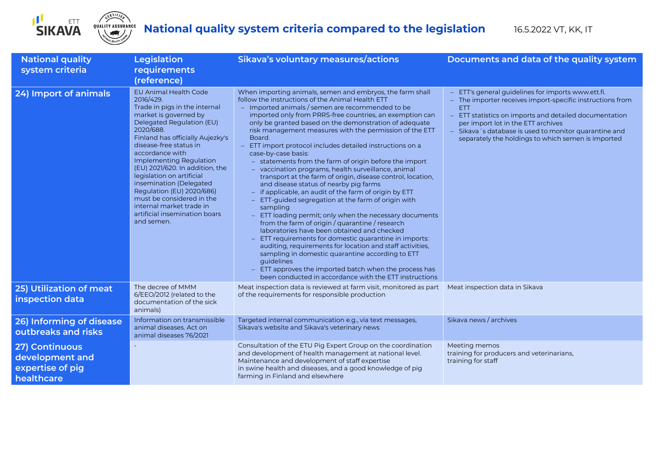



| <b>National quality</b><br>system criteria                          | <b>Legislation</b><br>requirements<br>(reference)                                                                                                                                                                                                                                                                                                                                                                                                                                         | Sikava's voluntary measures/actions                                                                                                                                                                                                                                                                                                                                                                                                                                                                                                                                                                                                                                                                                                                                                                                                                                                                                                                                                                                                                                                                                                                                                                                                                                     | Documents and data of the quality system                                                                                                                                                                                                                                                                                                |
|---------------------------------------------------------------------|-------------------------------------------------------------------------------------------------------------------------------------------------------------------------------------------------------------------------------------------------------------------------------------------------------------------------------------------------------------------------------------------------------------------------------------------------------------------------------------------|-------------------------------------------------------------------------------------------------------------------------------------------------------------------------------------------------------------------------------------------------------------------------------------------------------------------------------------------------------------------------------------------------------------------------------------------------------------------------------------------------------------------------------------------------------------------------------------------------------------------------------------------------------------------------------------------------------------------------------------------------------------------------------------------------------------------------------------------------------------------------------------------------------------------------------------------------------------------------------------------------------------------------------------------------------------------------------------------------------------------------------------------------------------------------------------------------------------------------------------------------------------------------|-----------------------------------------------------------------------------------------------------------------------------------------------------------------------------------------------------------------------------------------------------------------------------------------------------------------------------------------|
| 24) Import of animals                                               | <b>EU Animal Health Code</b><br>2016/429.<br>Trade in pigs in the internal<br>market is governed by<br>Delegated Regulation (EU)<br>2020/688.<br>Finland has officially Aujezky's<br>disease-free status in<br>accordance with<br>Implementing Regulation<br>(EU) 2021/620. In addition, the<br>legislation on artificial<br>insemination (Delegated<br>Regulation (EU) 2020/686)<br>must be considered in the<br>internal market trade in<br>artificial insemination boars<br>and semen. | When importing animals, semen and embryos, the farm shall<br>follow the instructions of the Animal Health ETT<br>- Imported animals / semen are recommended to be<br>imported only from PRRS-free countries, an exemption can<br>only be granted based on the demonstration of adequate<br>risk management measures with the permission of the ETT<br>Board.<br>ETT import protocol includes detailed instructions on a<br>case-by-case basis:<br>- statements from the farm of origin before the import<br>- vaccination programs, health surveillance, animal<br>transport at the farm of origin, disease control, location,<br>and disease status of nearby pig farms<br>- if applicable, an audit of the farm of origin by ETT<br>ETT-guided segregation at the farm of origin with<br>sampling<br>ETT loading permit; only when the necessary documents<br>from the farm of origin / quarantine / research<br>laboratories have been obtained and checked<br>ETT requirements for domestic quarantine in imports:<br>auditing, requirements for location and staff activities,<br>sampling in domestic quarantine according to ETT<br>guidelines<br>ETT approves the imported batch when the process has<br>been conducted in accordance with the ETT instructions | ETT's general guidelines for imports www.ett.fi.<br>- The importer receives import-specific instructions from<br><b>ETT</b><br>ETT statistics on imports and detailed documentation<br>per import lot in the ETT archives<br>Sikava 's database is used to monitor quarantine and<br>separately the holdings to which semen is imported |
| 25) Utilization of meat<br>inspection data                          | The decree of MMM<br>6/EEO/2012 (related to the<br>documentation of the sick<br>animals)                                                                                                                                                                                                                                                                                                                                                                                                  | Meat inspection data is reviewed at farm visit, monitored as part<br>of the requirements for responsible production                                                                                                                                                                                                                                                                                                                                                                                                                                                                                                                                                                                                                                                                                                                                                                                                                                                                                                                                                                                                                                                                                                                                                     | Meat inspection data in Sikava                                                                                                                                                                                                                                                                                                          |
| 26) Informing of disease<br>outbreaks and risks                     | Information on transmissible<br>animal diseases. Act on<br>animal diseases 76/2021                                                                                                                                                                                                                                                                                                                                                                                                        | Targeted internal communication e.g., via text messages,<br>Sikava's website and Sikava's veterinary news                                                                                                                                                                                                                                                                                                                                                                                                                                                                                                                                                                                                                                                                                                                                                                                                                                                                                                                                                                                                                                                                                                                                                               | Sikava news / archives                                                                                                                                                                                                                                                                                                                  |
| 27) Continuous<br>development and<br>expertise of pig<br>healthcare |                                                                                                                                                                                                                                                                                                                                                                                                                                                                                           | Consultation of the ETU Pig Expert Group on the coordination<br>and development of health management at national level.<br>Maintenance and development of staff expertise<br>in swine health and diseases, and a good knowledge of pig<br>farming in Finland and elsewhere                                                                                                                                                                                                                                                                                                                                                                                                                                                                                                                                                                                                                                                                                                                                                                                                                                                                                                                                                                                              | Meeting memos<br>training for producers and veterinarians,<br>training for staff                                                                                                                                                                                                                                                        |